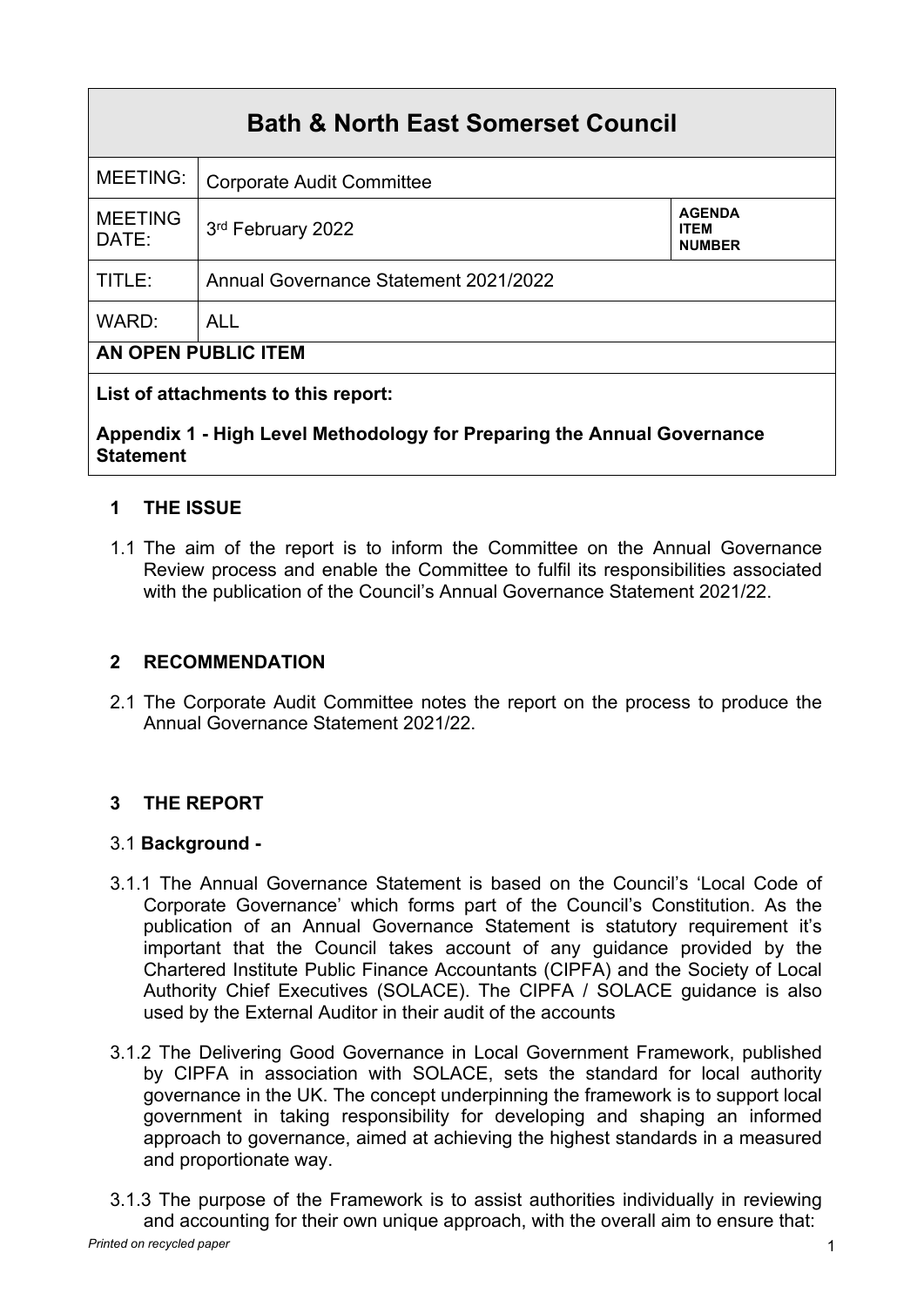# **Bath & North East Somerset Council**

| MEETING:                            | <b>Corporate Audit Committee</b>      |                                               |  |
|-------------------------------------|---------------------------------------|-----------------------------------------------|--|
| <b>MEETING</b><br>DATE:             | 3rd February 2022                     | <b>AGENDA</b><br><b>ITEM</b><br><b>NUMBER</b> |  |
| TITLE:                              | Annual Governance Statement 2021/2022 |                                               |  |
| WARD:                               | <b>ALL</b>                            |                                               |  |
| <b>AN OPEN PUBLIC ITEM</b>          |                                       |                                               |  |
| Liet of attachmonte to this ronort. |                                       |                                               |  |

# **List of attachments to this report:**

## **Appendix 1 - High Level Methodology for Preparing the Annual Governance Statement**

# **1 THE ISSUE**

1.1 The aim of the report is to inform the Committee on the Annual Governance Review process and enable the Committee to fulfil its responsibilities associated with the publication of the Council's Annual Governance Statement 2021/22.

## **2 RECOMMENDATION**

2.1 The Corporate Audit Committee notes the report on the process to produce the Annual Governance Statement 2021/22.

# **3 THE REPORT**

#### 3.1 **Background -**

- 3.1.1 The Annual Governance Statement is based on the Council's 'Local Code of Corporate Governance' which forms part of the Council's Constitution. As the publication of an Annual Governance Statement is statutory requirement it's important that the Council takes account of any guidance provided by the Chartered Institute Public Finance Accountants (CIPFA) and the Society of Local Authority Chief Executives (SOLACE). The CIPFA / SOLACE guidance is also used by the External Auditor in their audit of the accounts
- 3.1.2 The Delivering Good Governance in Local Government Framework, published by CIPFA in association with SOLACE, sets the standard for local authority governance in the UK. The concept underpinning the framework is to support local government in taking responsibility for developing and shaping an informed approach to governance, aimed at achieving the highest standards in a measured and proportionate way.
- *Printed on recycled paper* 1 3.1.3 The purpose of the Framework is to assist authorities individually in reviewing and accounting for their own unique approach, with the overall aim to ensure that: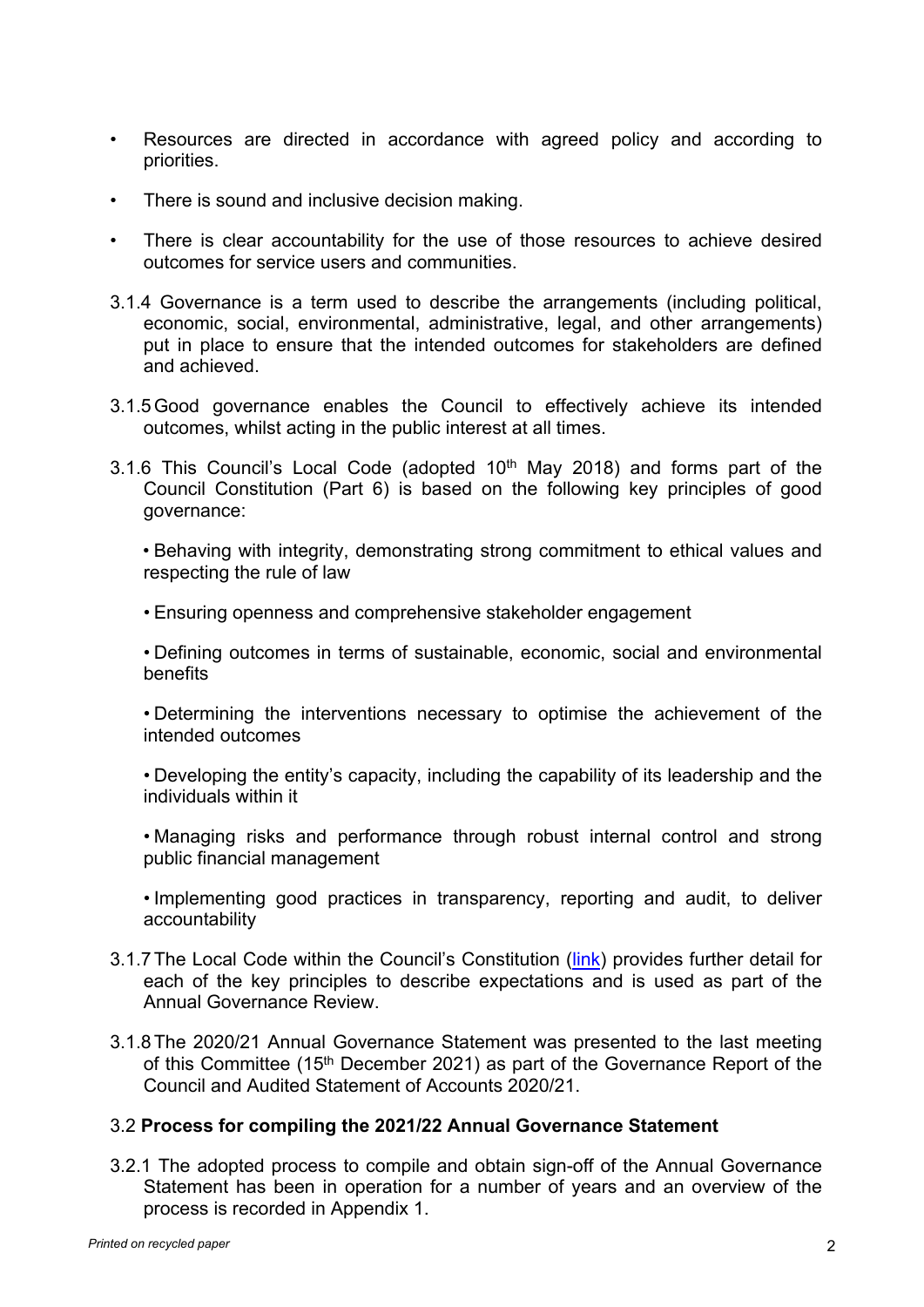- Resources are directed in accordance with agreed policy and according to priorities.
- There is sound and inclusive decision making.
- There is clear accountability for the use of those resources to achieve desired outcomes for service users and communities.
- 3.1.4 Governance is a term used to describe the arrangements (including political, economic, social, environmental, administrative, legal, and other arrangements) put in place to ensure that the intended outcomes for stakeholders are defined and achieved.
- 3.1.5Good governance enables the Council to effectively achieve its intended outcomes, whilst acting in the public interest at all times.
- 3.1.6 This Council's Local Code (adopted  $10<sup>th</sup>$  May 2018) and forms part of the Council Constitution (Part 6) is based on the following key principles of good governance:

• Behaving with integrity, demonstrating strong commitment to ethical values and respecting the rule of law

• Ensuring openness and comprehensive stakeholder engagement

• Defining outcomes in terms of sustainable, economic, social and environmental benefits

• Determining the interventions necessary to optimise the achievement of the intended outcomes

• Developing the entity's capacity, including the capability of its leadership and the individuals within it

• Managing risks and performance through robust internal control and strong public financial management

• Implementing good practices in transparency, reporting and audit, to deliver accountability

- 3.1.7The Local Code within the Council's Constitution ([link\)](https://democracy.bathnes.gov.uk/ieListDocuments.aspx?CId=652&MId=5469&Ver=4&info=1) provides further detail for each of the key principles to describe expectations and is used as part of the Annual Governance Review.
- 3.1.8The 2020/21 Annual Governance Statement was presented to the last meeting of this Committee (15<sup>th</sup> December 2021) as part of the Governance Report of the Council and Audited Statement of Accounts 2020/21.

#### 3.2 **Process for compiling the 2021/22 Annual Governance Statement**

3.2.1 The adopted process to compile and obtain sign-off of the Annual Governance Statement has been in operation for a number of years and an overview of the process is recorded in Appendix 1.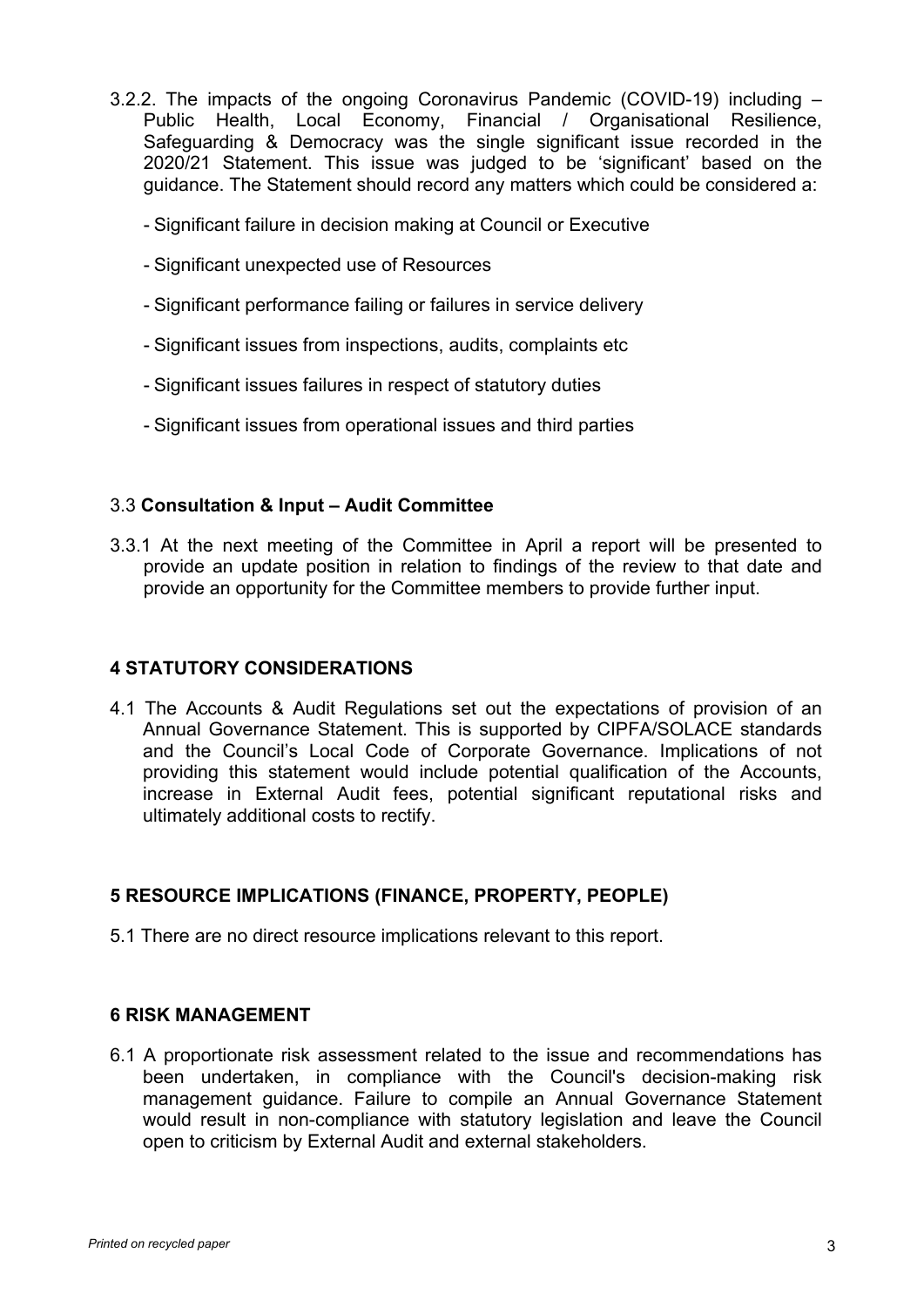- 3.2.2. The impacts of the ongoing Coronavirus Pandemic (COVID-19) including Public Health, Local Economy, Financial / Organisational Resilience, Safeguarding & Democracy was the single significant issue recorded in the 2020/21 Statement. This issue was judged to be 'significant' based on the guidance. The Statement should record any matters which could be considered a:
	- Significant failure in decision making at Council or Executive
	- Significant unexpected use of Resources
	- Significant performance failing or failures in service delivery
	- Significant issues from inspections, audits, complaints etc
	- Significant issues failures in respect of statutory duties
	- Significant issues from operational issues and third parties

#### 3.3 **Consultation & Input – Audit Committee**

3.3.1 At the next meeting of the Committee in April a report will be presented to provide an update position in relation to findings of the review to that date and provide an opportunity for the Committee members to provide further input.

#### **4 STATUTORY CONSIDERATIONS**

4.1 The Accounts & Audit Regulations set out the expectations of provision of an Annual Governance Statement. This is supported by CIPFA/SOLACE standards and the Council's Local Code of Corporate Governance. Implications of not providing this statement would include potential qualification of the Accounts, increase in External Audit fees, potential significant reputational risks and ultimately additional costs to rectify.

#### **5 RESOURCE IMPLICATIONS (FINANCE, PROPERTY, PEOPLE)**

5.1 There are no direct resource implications relevant to this report.

#### **6 RISK MANAGEMENT**

6.1 A proportionate risk assessment related to the issue and recommendations has been undertaken, in compliance with the Council's decision-making risk management guidance. Failure to compile an Annual Governance Statement would result in non-compliance with statutory legislation and leave the Council open to criticism by External Audit and external stakeholders.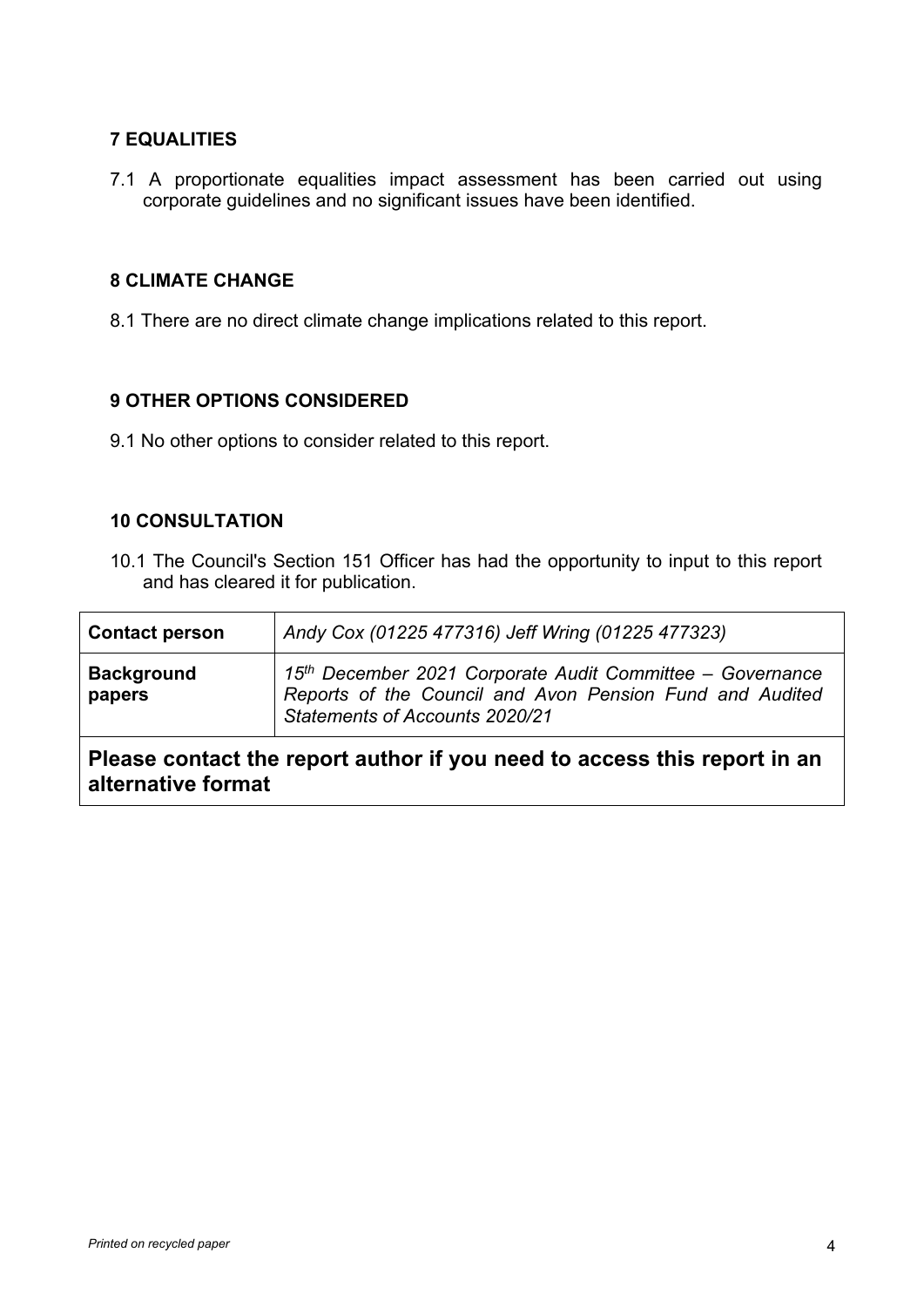# **7 EQUALITIES**

7.1 A proportionate equalities impact assessment has been carried out using corporate guidelines and no significant issues have been identified.

#### **8 CLIMATE CHANGE**

8.1 There are no direct climate change implications related to this report.

## **9 OTHER OPTIONS CONSIDERED**

9.1 No other options to consider related to this report.

## **10 CONSULTATION**

10.1 The Council's Section 151 Officer has had the opportunity to input to this report and has cleared it for publication.

| <b>Contact person</b>                                                                          | Andy Cox (01225 477316) Jeff Wring (01225 477323)                                                                                                       |  |
|------------------------------------------------------------------------------------------------|---------------------------------------------------------------------------------------------------------------------------------------------------------|--|
| <b>Background</b><br>papers                                                                    | 15th December 2021 Corporate Audit Committee - Governance<br>Reports of the Council and Avon Pension Fund and Audited<br>Statements of Accounts 2020/21 |  |
| Please contact the report author if you need to access this report in an<br>alternative format |                                                                                                                                                         |  |